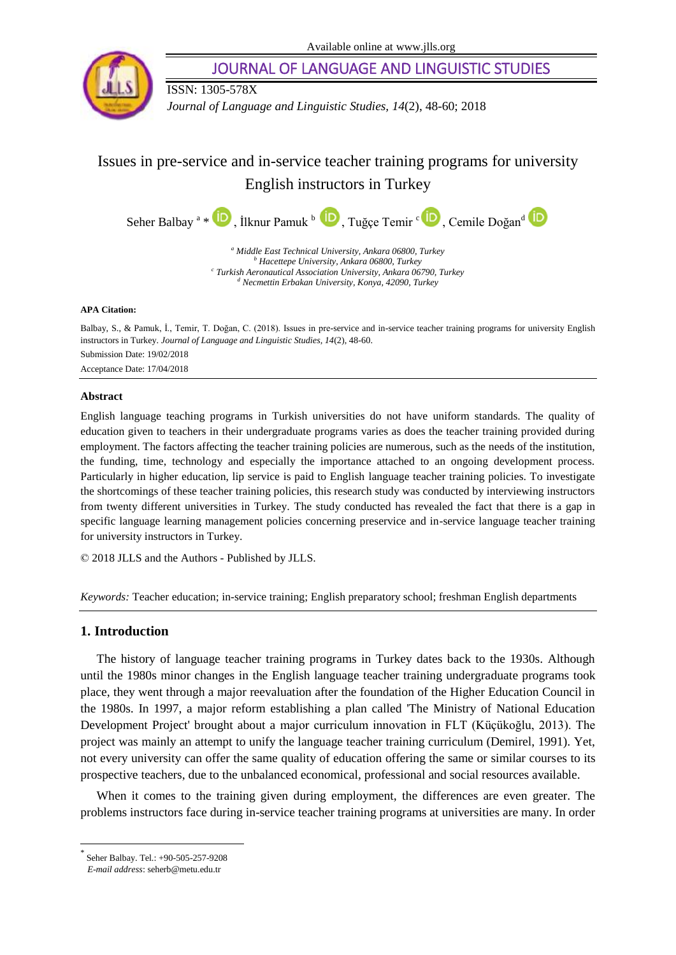Available online at www.jlls.org



JOURNAL OF LANGUAGE AND LINGUISTIC STUDIES

ISSN: 1305-578X

*Journal of Language and Linguistic Studies, 14*(2), 48-60; 2018

# Issues in pre-service and in-service teacher training programs for university English instructors in Turkey

Seher Balbay<sup>a</sup> \* U[,](https://orcid.org/0000-0001-6276-053X)İlknur Pamuk b, Tuğçe Temir c U, Cemile Doğand

*<sup>a</sup> Middle East Technical University, Ankara 06800, Turkey <sup>b</sup> Hacettepe University, Ankara 06800, Turkey c Turkish Aeronautical Association University, Ankara 06790, Turkey <sup>d</sup> Necmettin Erbakan University, Konya, 42090, Turkey*

#### **APA Citation:**

Balbay, S., & Pamuk, İ., Temir, T. Doğan, C. (2018). Issues in pre-service and in-service teacher training programs for university English instructors in Turkey. *Journal of Language and Linguistic Studies, 14*(2), 48-60. Submission Date: 19/02/2018 Acceptance Date: 17/04/2018

# **Abstract**

English language teaching programs in Turkish universities do not have uniform standards. The quality of education given to teachers in their undergraduate programs varies as does the teacher training provided during employment. The factors affecting the teacher training policies are numerous, such as the needs of the institution, the funding, time, technology and especially the importance attached to an ongoing development process. Particularly in higher education, lip service is paid to English language teacher training policies. To investigate the shortcomings of these teacher training policies, this research study was conducted by interviewing instructors from twenty different universities in Turkey. The study conducted has revealed the fact that there is a gap in specific language learning management policies concerning preservice and in-service language teacher training for university instructors in Turkey.

© 2018 JLLS and the Authors - Published by JLLS.

*Keywords:* Teacher education; in-service training; English preparatory school; freshman English departments

# **1. Introduction**

The history of language teacher training programs in Turkey dates back to the 1930s. Although until the 1980s minor changes in the English language teacher training undergraduate programs took place, they went through a major reevaluation after the foundation of the Higher Education Council in the 1980s. In 1997, a major reform establishing a plan called 'The Ministry of National Education Development Project' brought about a major curriculum innovation in FLT (Küçükoğlu, 2013). The project was mainly an attempt to unify the language teacher training curriculum (Demirel, 1991). Yet, not every university can offer the same quality of education offering the same or similar courses to its prospective teachers, due to the unbalanced economical, professional and social resources available.

When it comes to the training given during employment, the differences are even greater. The problems instructors face during in-service teacher training programs at universities are many. In order

l

<sup>\*</sup> Seher Balbay. Tel.: +90-505-257-9208

*E-mail address*: seherb@metu.edu.tr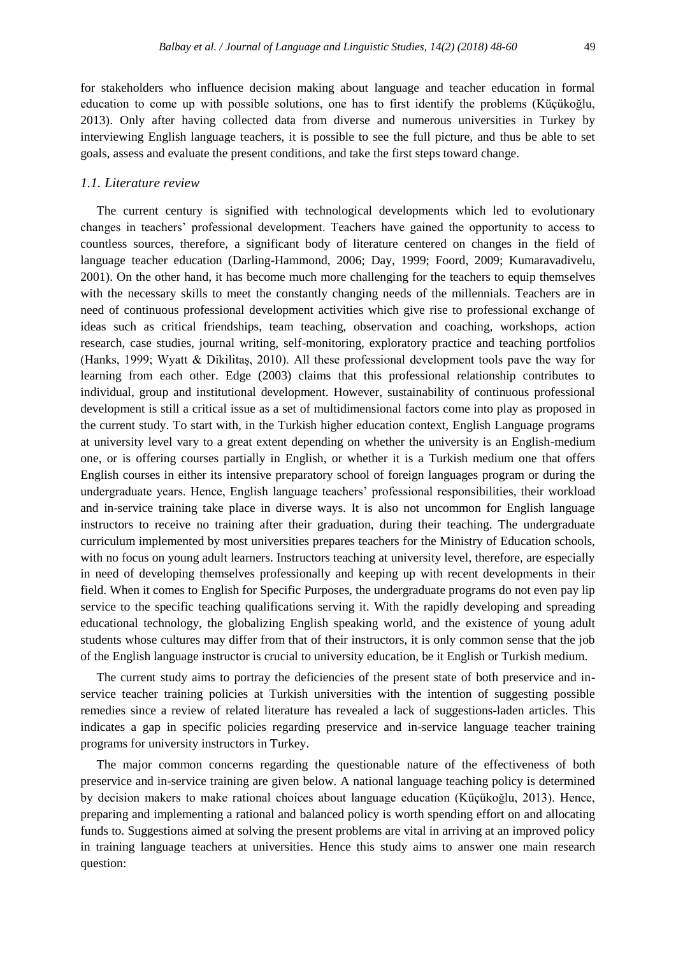for stakeholders who influence decision making about language and teacher education in formal education to come up with possible solutions, one has to first identify the problems (Küçükoğlu, 2013). Only after having collected data from diverse and numerous universities in Turkey by interviewing English language teachers, it is possible to see the full picture, and thus be able to set goals, assess and evaluate the present conditions, and take the first steps toward change.

# *1.1. Literature review*

The current century is signified with technological developments which led to evolutionary changes in teachers' professional development. Teachers have gained the opportunity to access to countless sources, therefore, a significant body of literature centered on changes in the field of language teacher education (Darling-Hammond, 2006; Day, 1999; Foord, 2009; Kumaravadivelu, 2001). On the other hand, it has become much more challenging for the teachers to equip themselves with the necessary skills to meet the constantly changing needs of the millennials. Teachers are in need of continuous professional development activities which give rise to professional exchange of ideas such as critical friendships, team teaching, observation and coaching, workshops, action research, case studies, journal writing, self-monitoring, exploratory practice and teaching portfolios (Hanks, 1999; Wyatt & Dikilitaş, 2010). All these professional development tools pave the way for learning from each other. Edge (2003) claims that this professional relationship contributes to individual, group and institutional development. However, sustainability of continuous professional development is still a critical issue as a set of multidimensional factors come into play as proposed in the current study. To start with, in the Turkish higher education context, English Language programs at university level vary to a great extent depending on whether the university is an English-medium one, or is offering courses partially in English, or whether it is a Turkish medium one that offers English courses in either its intensive preparatory school of foreign languages program or during the undergraduate years. Hence, English language teachers' professional responsibilities, their workload and in-service training take place in diverse ways. It is also not uncommon for English language instructors to receive no training after their graduation, during their teaching. The undergraduate curriculum implemented by most universities prepares teachers for the Ministry of Education schools, with no focus on young adult learners. Instructors teaching at university level, therefore, are especially in need of developing themselves professionally and keeping up with recent developments in their field. When it comes to English for Specific Purposes, the undergraduate programs do not even pay lip service to the specific teaching qualifications serving it. With the rapidly developing and spreading educational technology, the globalizing English speaking world, and the existence of young adult students whose cultures may differ from that of their instructors, it is only common sense that the job of the English language instructor is crucial to university education, be it English or Turkish medium.

The current study aims to portray the deficiencies of the present state of both preservice and inservice teacher training policies at Turkish universities with the intention of suggesting possible remedies since a review of related literature has revealed a lack of suggestions-laden articles. This indicates a gap in specific policies regarding preservice and in-service language teacher training programs for university instructors in Turkey.

The major common concerns regarding the questionable nature of the effectiveness of both preservice and in-service training are given below. A national language teaching policy is determined by decision makers to make rational choices about language education (Küçükoğlu, 2013). Hence, preparing and implementing a rational and balanced policy is worth spending effort on and allocating funds to. Suggestions aimed at solving the present problems are vital in arriving at an improved policy in training language teachers at universities. Hence this study aims to answer one main research question: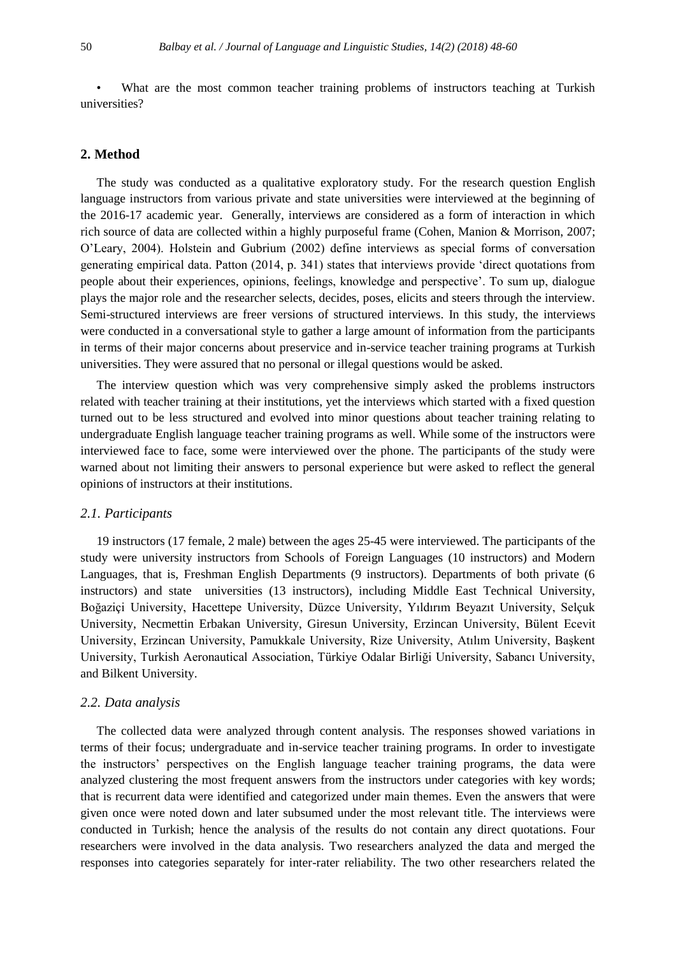• What are the most common teacher training problems of instructors teaching at Turkish universities?

## **2. Method**

The study was conducted as a qualitative exploratory study. For the research question English language instructors from various private and state universities were interviewed at the beginning of the 2016-17 academic year. Generally, interviews are considered as a form of interaction in which rich source of data are collected within a highly purposeful frame (Cohen, Manion & Morrison, 2007; O'Leary, 2004). Holstein and Gubrium (2002) define interviews as special forms of conversation generating empirical data. Patton (2014, p. 341) states that interviews provide ‗direct quotations from people about their experiences, opinions, feelings, knowledge and perspective'. To sum up, dialogue plays the major role and the researcher selects, decides, poses, elicits and steers through the interview. Semi-structured interviews are freer versions of structured interviews. In this study, the interviews were conducted in a conversational style to gather a large amount of information from the participants in terms of their major concerns about preservice and in-service teacher training programs at Turkish universities. They were assured that no personal or illegal questions would be asked.

The interview question which was very comprehensive simply asked the problems instructors related with teacher training at their institutions, yet the interviews which started with a fixed question turned out to be less structured and evolved into minor questions about teacher training relating to undergraduate English language teacher training programs as well. While some of the instructors were interviewed face to face, some were interviewed over the phone. The participants of the study were warned about not limiting their answers to personal experience but were asked to reflect the general opinions of instructors at their institutions.

## *2.1. Participants*

19 instructors (17 female, 2 male) between the ages 25-45 were interviewed. The participants of the study were university instructors from Schools of Foreign Languages (10 instructors) and Modern Languages, that is, Freshman English Departments (9 instructors). Departments of both private (6 instructors) and state universities (13 instructors), including Middle East Technical University, Boğaziçi University, Hacettepe University, Düzce University, Yıldırım Beyazıt University, Selçuk University, Necmettin Erbakan University, Giresun University, Erzincan University, Bülent Ecevit University, Erzincan University, Pamukkale University, Rize University, Atılım University, Başkent University, Turkish Aeronautical Association, Türkiye Odalar Birliği University, Sabancı University, and Bilkent University.

#### *2.2. Data analysis*

The collected data were analyzed through content analysis. The responses showed variations in terms of their focus; undergraduate and in-service teacher training programs. In order to investigate the instructors' perspectives on the English language teacher training programs, the data were analyzed clustering the most frequent answers from the instructors under categories with key words; that is recurrent data were identified and categorized under main themes. Even the answers that were given once were noted down and later subsumed under the most relevant title. The interviews were conducted in Turkish; hence the analysis of the results do not contain any direct quotations. Four researchers were involved in the data analysis. Two researchers analyzed the data and merged the responses into categories separately for inter-rater reliability. The two other researchers related the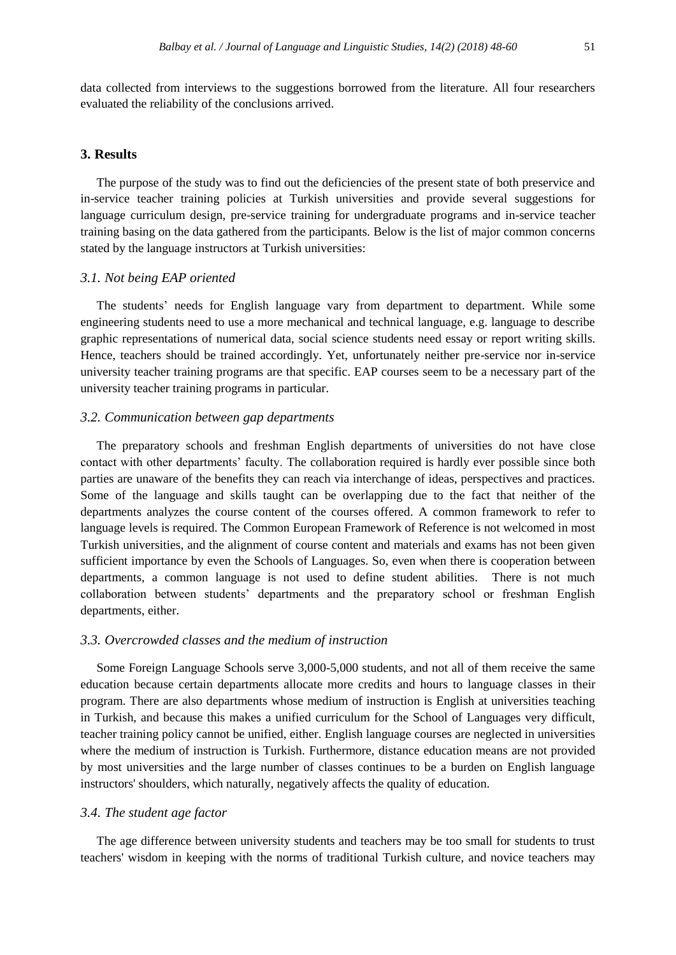data collected from interviews to the suggestions borrowed from the literature. All four researchers evaluated the reliability of the conclusions arrived.

#### **3. Results**

The purpose of the study was to find out the deficiencies of the present state of both preservice and in-service teacher training policies at Turkish universities and provide several suggestions for language curriculum design, pre-service training for undergraduate programs and in-service teacher training basing on the data gathered from the participants. Below is the list of major common concerns stated by the language instructors at Turkish universities:

# *3.1. Not being EAP oriented*

The students' needs for English language vary from department to department. While some engineering students need to use a more mechanical and technical language, e.g. language to describe graphic representations of numerical data, social science students need essay or report writing skills. Hence, teachers should be trained accordingly. Yet, unfortunately neither pre-service nor in-service university teacher training programs are that specific. EAP courses seem to be a necessary part of the university teacher training programs in particular.

#### *3.2. Communication between gap departments*

The preparatory schools and freshman English departments of universities do not have close contact with other departments' faculty. The collaboration required is hardly ever possible since both parties are unaware of the benefits they can reach via interchange of ideas, perspectives and practices. Some of the language and skills taught can be overlapping due to the fact that neither of the departments analyzes the course content of the courses offered. A common framework to refer to language levels is required. The Common European Framework of Reference is not welcomed in most Turkish universities, and the alignment of course content and materials and exams has not been given sufficient importance by even the Schools of Languages. So, even when there is cooperation between departments, a common language is not used to define student abilities. There is not much collaboration between students' departments and the preparatory school or freshman English departments, either.

#### *3.3. Overcrowded classes and the medium of instruction*

Some Foreign Language Schools serve 3,000-5,000 students, and not all of them receive the same education because certain departments allocate more credits and hours to language classes in their program. There are also departments whose medium of instruction is English at universities teaching in Turkish, and because this makes a unified curriculum for the School of Languages very difficult, teacher training policy cannot be unified, either. English language courses are neglected in universities where the medium of instruction is Turkish. Furthermore, distance education means are not provided by most universities and the large number of classes continues to be a burden on English language instructors' shoulders, which naturally, negatively affects the quality of education.

## *3.4. The student age factor*

The age difference between university students and teachers may be too small for students to trust teachers' wisdom in keeping with the norms of traditional Turkish culture, and novice teachers may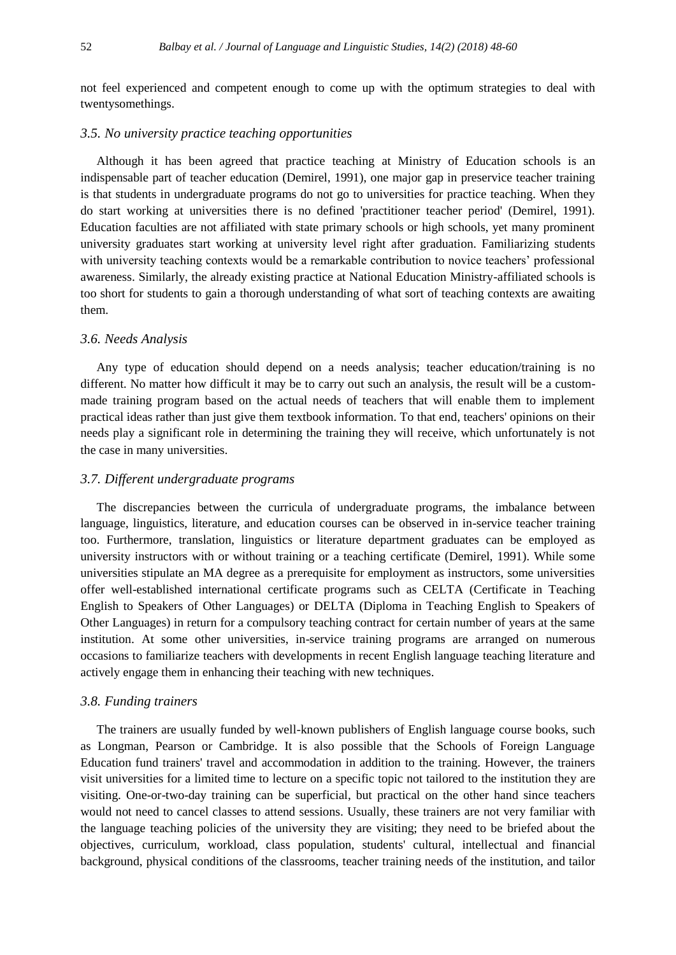not feel experienced and competent enough to come up with the optimum strategies to deal with twentysomethings.

#### *3.5. No university practice teaching opportunities*

Although it has been agreed that practice teaching at Ministry of Education schools is an indispensable part of teacher education (Demirel, 1991), one major gap in preservice teacher training is that students in undergraduate programs do not go to universities for practice teaching. When they do start working at universities there is no defined 'practitioner teacher period' (Demirel, 1991). Education faculties are not affiliated with state primary schools or high schools, yet many prominent university graduates start working at university level right after graduation. Familiarizing students with university teaching contexts would be a remarkable contribution to novice teachers' professional awareness. Similarly, the already existing practice at National Education Ministry-affiliated schools is too short for students to gain a thorough understanding of what sort of teaching contexts are awaiting them.

#### *3.6. Needs Analysis*

Any type of education should depend on a needs analysis; teacher education/training is no different. No matter how difficult it may be to carry out such an analysis, the result will be a custommade training program based on the actual needs of teachers that will enable them to implement practical ideas rather than just give them textbook information. To that end, teachers' opinions on their needs play a significant role in determining the training they will receive, which unfortunately is not the case in many universities.

#### *3.7. Different undergraduate programs*

The discrepancies between the curricula of undergraduate programs, the imbalance between language, linguistics, literature, and education courses can be observed in in-service teacher training too. Furthermore, translation, linguistics or literature department graduates can be employed as university instructors with or without training or a teaching certificate (Demirel, 1991). While some universities stipulate an MA degree as a prerequisite for employment as instructors, some universities offer well-established international certificate programs such as CELTA (Certificate in Teaching English to Speakers of Other Languages) or DELTA (Diploma in Teaching English to Speakers of Other Languages) in return for a compulsory teaching contract for certain number of years at the same institution. At some other universities, in-service training programs are arranged on numerous occasions to familiarize teachers with developments in recent English language teaching literature and actively engage them in enhancing their teaching with new techniques.

# *3.8. Funding trainers*

The trainers are usually funded by well-known publishers of English language course books, such as Longman, Pearson or Cambridge. It is also possible that the Schools of Foreign Language Education fund trainers' travel and accommodation in addition to the training. However, the trainers visit universities for a limited time to lecture on a specific topic not tailored to the institution they are visiting. One-or-two-day training can be superficial, but practical on the other hand since teachers would not need to cancel classes to attend sessions. Usually, these trainers are not very familiar with the language teaching policies of the university they are visiting; they need to be briefed about the objectives, curriculum, workload, class population, students' cultural, intellectual and financial background, physical conditions of the classrooms, teacher training needs of the institution, and tailor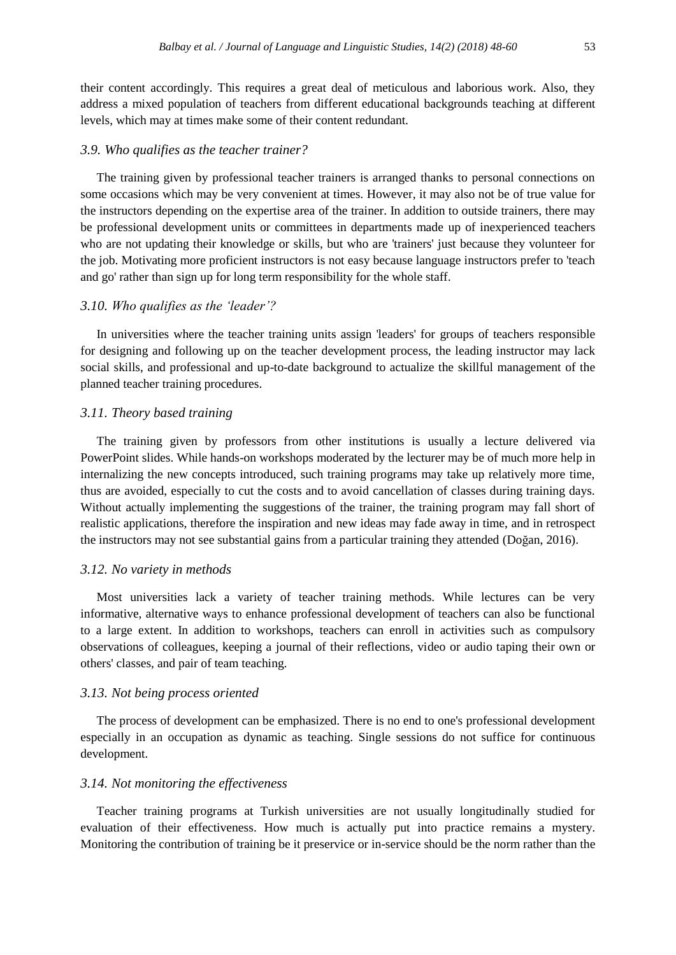their content accordingly. This requires a great deal of meticulous and laborious work. Also, they address a mixed population of teachers from different educational backgrounds teaching at different levels, which may at times make some of their content redundant.

## *3.9. Who qualifies as the teacher trainer?*

The training given by professional teacher trainers is arranged thanks to personal connections on some occasions which may be very convenient at times. However, it may also not be of true value for the instructors depending on the expertise area of the trainer. In addition to outside trainers, there may be professional development units or committees in departments made up of inexperienced teachers who are not updating their knowledge or skills, but who are 'trainers' just because they volunteer for the job. Motivating more proficient instructors is not easy because language instructors prefer to 'teach and go' rather than sign up for long term responsibility for the whole staff.

# *3.10. Who qualifies as the 'leader'?*

In universities where the teacher training units assign 'leaders' for groups of teachers responsible for designing and following up on the teacher development process, the leading instructor may lack social skills, and professional and up-to-date background to actualize the skillful management of the planned teacher training procedures.

#### *3.11. Theory based training*

The training given by professors from other institutions is usually a lecture delivered via PowerPoint slides. While hands-on workshops moderated by the lecturer may be of much more help in internalizing the new concepts introduced, such training programs may take up relatively more time, thus are avoided, especially to cut the costs and to avoid cancellation of classes during training days. Without actually implementing the suggestions of the trainer, the training program may fall short of realistic applications, therefore the inspiration and new ideas may fade away in time, and in retrospect the instructors may not see substantial gains from a particular training they attended (Doğan, 2016).

#### *3.12. No variety in methods*

Most universities lack a variety of teacher training methods. While lectures can be very informative, alternative ways to enhance professional development of teachers can also be functional to a large extent. In addition to workshops, teachers can enroll in activities such as compulsory observations of colleagues, keeping a journal of their reflections, video or audio taping their own or others' classes, and pair of team teaching.

#### *3.13. Not being process oriented*

The process of development can be emphasized. There is no end to one's professional development especially in an occupation as dynamic as teaching. Single sessions do not suffice for continuous development.

#### *3.14. Not monitoring the effectiveness*

Teacher training programs at Turkish universities are not usually longitudinally studied for evaluation of their effectiveness. How much is actually put into practice remains a mystery. Monitoring the contribution of training be it preservice or in-service should be the norm rather than the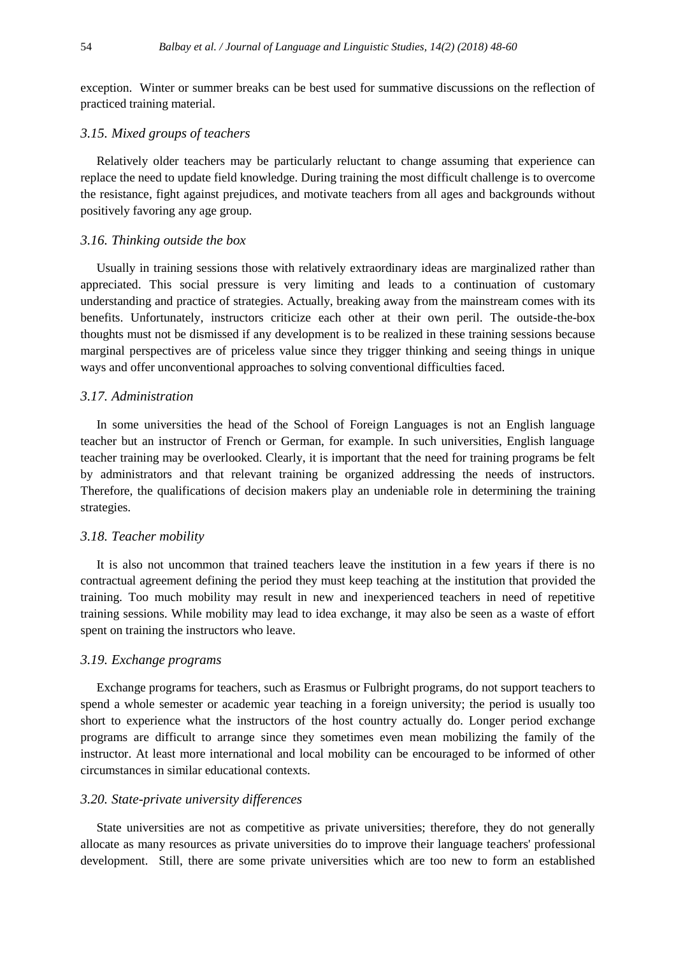exception. Winter or summer breaks can be best used for summative discussions on the reflection of practiced training material.

# *3.15. Mixed groups of teachers*

Relatively older teachers may be particularly reluctant to change assuming that experience can replace the need to update field knowledge. During training the most difficult challenge is to overcome the resistance, fight against prejudices, and motivate teachers from all ages and backgrounds without positively favoring any age group.

#### *3.16. Thinking outside the box*

Usually in training sessions those with relatively extraordinary ideas are marginalized rather than appreciated. This social pressure is very limiting and leads to a continuation of customary understanding and practice of strategies. Actually, breaking away from the mainstream comes with its benefits. Unfortunately, instructors criticize each other at their own peril. The outside-the-box thoughts must not be dismissed if any development is to be realized in these training sessions because marginal perspectives are of priceless value since they trigger thinking and seeing things in unique ways and offer unconventional approaches to solving conventional difficulties faced.

## *3.17. Administration*

In some universities the head of the School of Foreign Languages is not an English language teacher but an instructor of French or German, for example. In such universities, English language teacher training may be overlooked. Clearly, it is important that the need for training programs be felt by administrators and that relevant training be organized addressing the needs of instructors. Therefore, the qualifications of decision makers play an undeniable role in determining the training strategies.

#### *3.18. Teacher mobility*

It is also not uncommon that trained teachers leave the institution in a few years if there is no contractual agreement defining the period they must keep teaching at the institution that provided the training. Too much mobility may result in new and inexperienced teachers in need of repetitive training sessions. While mobility may lead to idea exchange, it may also be seen as a waste of effort spent on training the instructors who leave.

#### *3.19. Exchange programs*

Exchange programs for teachers, such as Erasmus or Fulbright programs, do not support teachers to spend a whole semester or academic year teaching in a foreign university; the period is usually too short to experience what the instructors of the host country actually do. Longer period exchange programs are difficult to arrange since they sometimes even mean mobilizing the family of the instructor. At least more international and local mobility can be encouraged to be informed of other circumstances in similar educational contexts.

# *3.20. State-private university differences*

State universities are not as competitive as private universities; therefore, they do not generally allocate as many resources as private universities do to improve their language teachers' professional development. Still, there are some private universities which are too new to form an established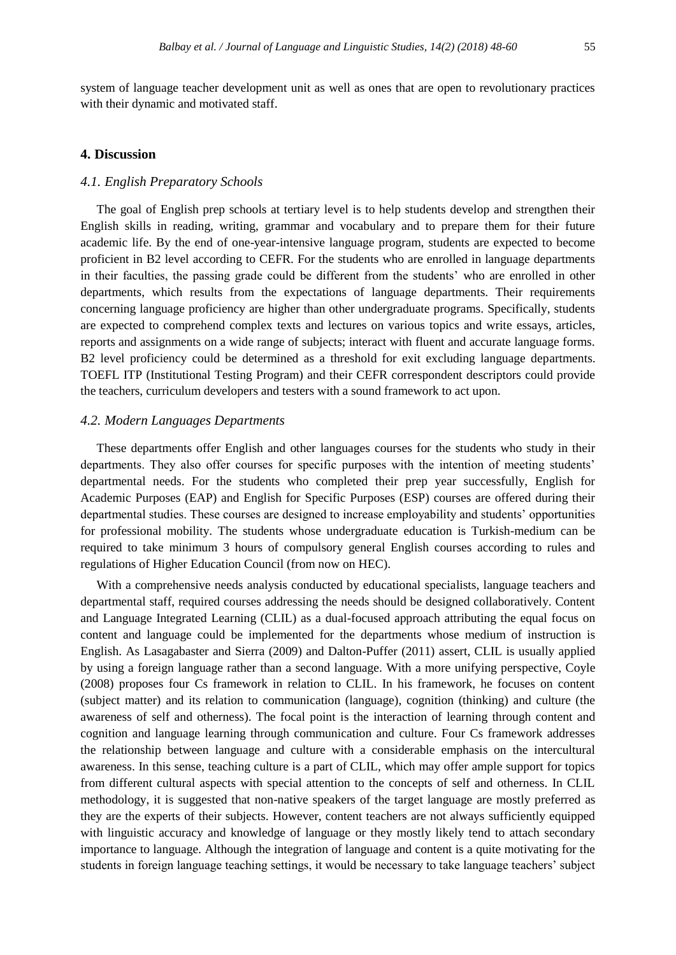system of language teacher development unit as well as ones that are open to revolutionary practices with their dynamic and motivated staff.

## **4. Discussion**

# *4.1. English Preparatory Schools*

The goal of English prep schools at tertiary level is to help students develop and strengthen their English skills in reading, writing, grammar and vocabulary and to prepare them for their future academic life. By the end of one-year-intensive language program, students are expected to become proficient in B2 level according to CEFR. For the students who are enrolled in language departments in their faculties, the passing grade could be different from the students' who are enrolled in other departments, which results from the expectations of language departments. Their requirements concerning language proficiency are higher than other undergraduate programs. Specifically, students are expected to comprehend complex texts and lectures on various topics and write essays, articles, reports and assignments on a wide range of subjects; interact with fluent and accurate language forms. B2 level proficiency could be determined as a threshold for exit excluding language departments. TOEFL ITP (Institutional Testing Program) and their CEFR correspondent descriptors could provide the teachers, curriculum developers and testers with a sound framework to act upon.

# *4.2. Modern Languages Departments*

These departments offer English and other languages courses for the students who study in their departments. They also offer courses for specific purposes with the intention of meeting students' departmental needs. For the students who completed their prep year successfully, English for Academic Purposes (EAP) and English for Specific Purposes (ESP) courses are offered during their departmental studies. These courses are designed to increase employability and students' opportunities for professional mobility. The students whose undergraduate education is Turkish-medium can be required to take minimum 3 hours of compulsory general English courses according to rules and regulations of Higher Education Council (from now on HEC).

With a comprehensive needs analysis conducted by educational specialists, language teachers and departmental staff, required courses addressing the needs should be designed collaboratively. Content and Language Integrated Learning (CLIL) as a dual-focused approach attributing the equal focus on content and language could be implemented for the departments whose medium of instruction is English. As Lasagabaster and Sierra (2009) and Dalton-Puffer (2011) assert, CLIL is usually applied by using a foreign language rather than a second language. With a more unifying perspective, Coyle (2008) proposes four Cs framework in relation to CLIL. In his framework, he focuses on content (subject matter) and its relation to communication (language), cognition (thinking) and culture (the awareness of self and otherness). The focal point is the interaction of learning through content and cognition and language learning through communication and culture. Four Cs framework addresses the relationship between language and culture with a considerable emphasis on the intercultural awareness. In this sense, teaching culture is a part of CLIL, which may offer ample support for topics from different cultural aspects with special attention to the concepts of self and otherness. In CLIL methodology, it is suggested that non-native speakers of the target language are mostly preferred as they are the experts of their subjects. However, content teachers are not always sufficiently equipped with linguistic accuracy and knowledge of language or they mostly likely tend to attach secondary importance to language. Although the integration of language and content is a quite motivating for the students in foreign language teaching settings, it would be necessary to take language teachers' subject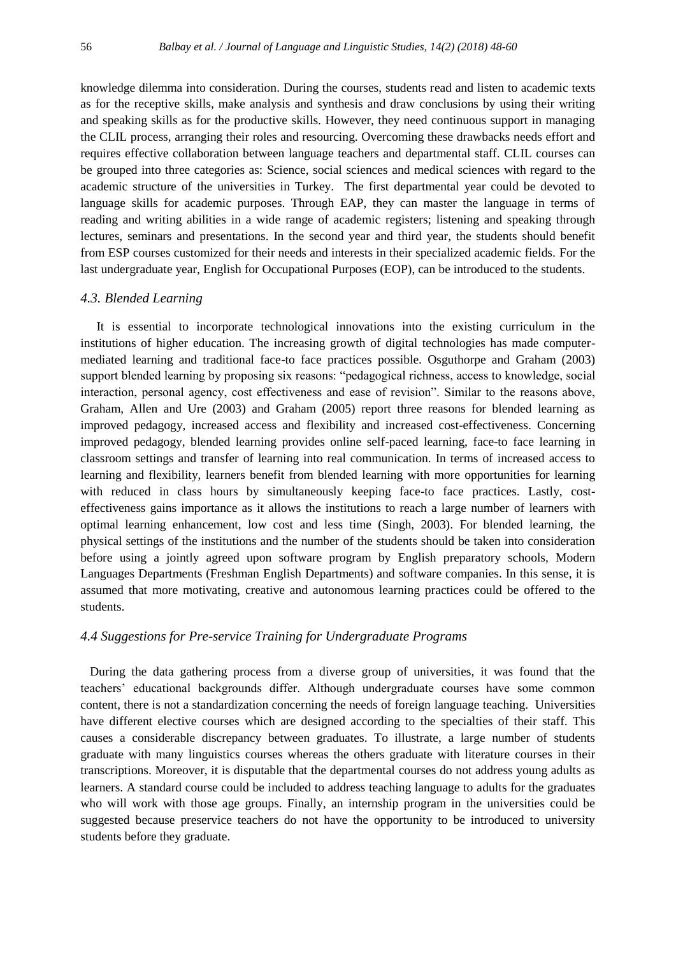knowledge dilemma into consideration. During the courses, students read and listen to academic texts as for the receptive skills, make analysis and synthesis and draw conclusions by using their writing and speaking skills as for the productive skills. However, they need continuous support in managing the CLIL process, arranging their roles and resourcing. Overcoming these drawbacks needs effort and requires effective collaboration between language teachers and departmental staff. CLIL courses can be grouped into three categories as: Science, social sciences and medical sciences with regard to the academic structure of the universities in Turkey. The first departmental year could be devoted to language skills for academic purposes. Through EAP, they can master the language in terms of reading and writing abilities in a wide range of academic registers; listening and speaking through lectures, seminars and presentations. In the second year and third year, the students should benefit from ESP courses customized for their needs and interests in their specialized academic fields. For the last undergraduate year, English for Occupational Purposes (EOP), can be introduced to the students.

#### *4.3. Blended Learning*

It is essential to incorporate technological innovations into the existing curriculum in the institutions of higher education. The increasing growth of digital technologies has made computermediated learning and traditional face-to face practices possible. Osguthorpe and Graham (2003) support blended learning by proposing six reasons: "pedagogical richness, access to knowledge, social interaction, personal agency, cost effectiveness and ease of revision". Similar to the reasons above, Graham, Allen and Ure (2003) and Graham (2005) report three reasons for blended learning as improved pedagogy, increased access and flexibility and increased cost-effectiveness. Concerning improved pedagogy, blended learning provides online self-paced learning, face-to face learning in classroom settings and transfer of learning into real communication. In terms of increased access to learning and flexibility, learners benefit from blended learning with more opportunities for learning with reduced in class hours by simultaneously keeping face-to face practices. Lastly, costeffectiveness gains importance as it allows the institutions to reach a large number of learners with optimal learning enhancement, low cost and less time (Singh, 2003). For blended learning, the physical settings of the institutions and the number of the students should be taken into consideration before using a jointly agreed upon software program by English preparatory schools, Modern Languages Departments (Freshman English Departments) and software companies. In this sense, it is assumed that more motivating, creative and autonomous learning practices could be offered to the students.

#### *4.4 Suggestions for Pre-service Training for Undergraduate Programs*

 During the data gathering process from a diverse group of universities, it was found that the teachers' educational backgrounds differ. Although undergraduate courses have some common content, there is not a standardization concerning the needs of foreign language teaching. Universities have different elective courses which are designed according to the specialties of their staff. This causes a considerable discrepancy between graduates. To illustrate, a large number of students graduate with many linguistics courses whereas the others graduate with literature courses in their transcriptions. Moreover, it is disputable that the departmental courses do not address young adults as learners. A standard course could be included to address teaching language to adults for the graduates who will work with those age groups. Finally, an internship program in the universities could be suggested because preservice teachers do not have the opportunity to be introduced to university students before they graduate.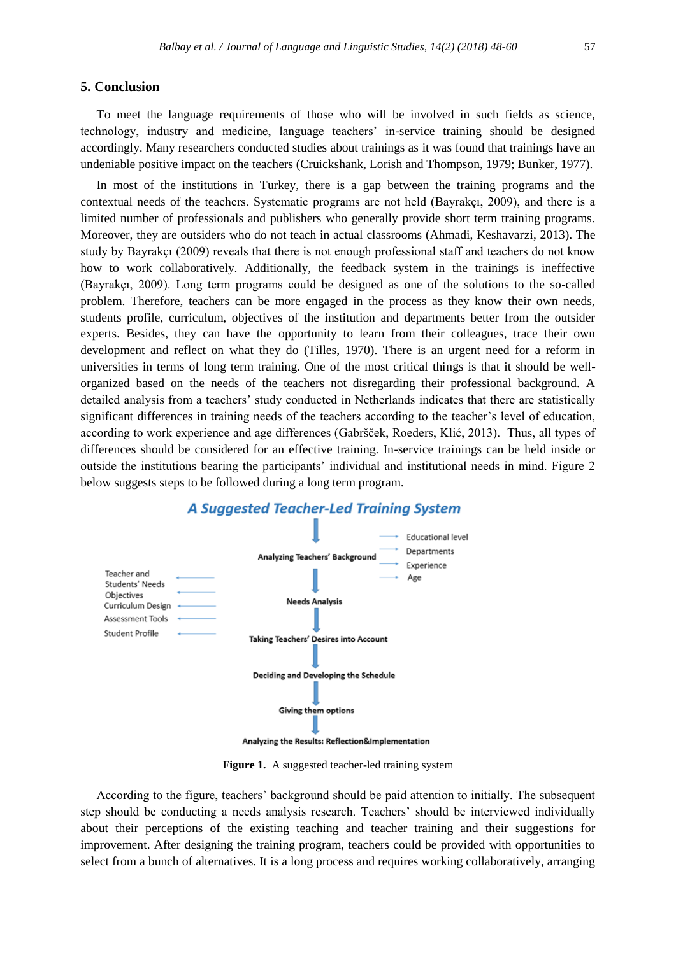# **5. Conclusion**

To meet the language requirements of those who will be involved in such fields as science, technology, industry and medicine, language teachers' in-service training should be designed accordingly. Many researchers conducted studies about trainings as it was found that trainings have an undeniable positive impact on the teachers (Cruickshank, Lorish and Thompson, 1979; Bunker, 1977).

In most of the institutions in Turkey, there is a gap between the training programs and the contextual needs of the teachers. Systematic programs are not held (Bayrakçı, 2009), and there is a limited number of professionals and publishers who generally provide short term training programs. Moreover, they are outsiders who do not teach in actual classrooms (Ahmadi, Keshavarzi, 2013). The study by Bayrakçı (2009) reveals that there is not enough professional staff and teachers do not know how to work collaboratively. Additionally, the feedback system in the trainings is ineffective (Bayrakçı, 2009). Long term programs could be designed as one of the solutions to the so-called problem. Therefore, teachers can be more engaged in the process as they know their own needs, students profile, curriculum, objectives of the institution and departments better from the outsider experts. Besides, they can have the opportunity to learn from their colleagues, trace their own development and reflect on what they do (Tilles, 1970). There is an urgent need for a reform in universities in terms of long term training. One of the most critical things is that it should be wellorganized based on the needs of the teachers not disregarding their professional background. A detailed analysis from a teachers' study conducted in Netherlands indicates that there are statistically significant differences in training needs of the teachers according to the teacher's level of education, according to work experience and age differences (Gabršček, Roeders, Klić, 2013). Thus, all types of differences should be considered for an effective training. In-service trainings can be held inside or outside the institutions bearing the participants' individual and institutional needs in mind. Figure 2 below suggests steps to be followed during a long term program.



# A Suggested Teacher-Led Training System

Figure 1. A suggested teacher-led training system

According to the figure, teachers' background should be paid attention to initially. The subsequent step should be conducting a needs analysis research. Teachers' should be interviewed individually about their perceptions of the existing teaching and teacher training and their suggestions for improvement. After designing the training program, teachers could be provided with opportunities to select from a bunch of alternatives. It is a long process and requires working collaboratively, arranging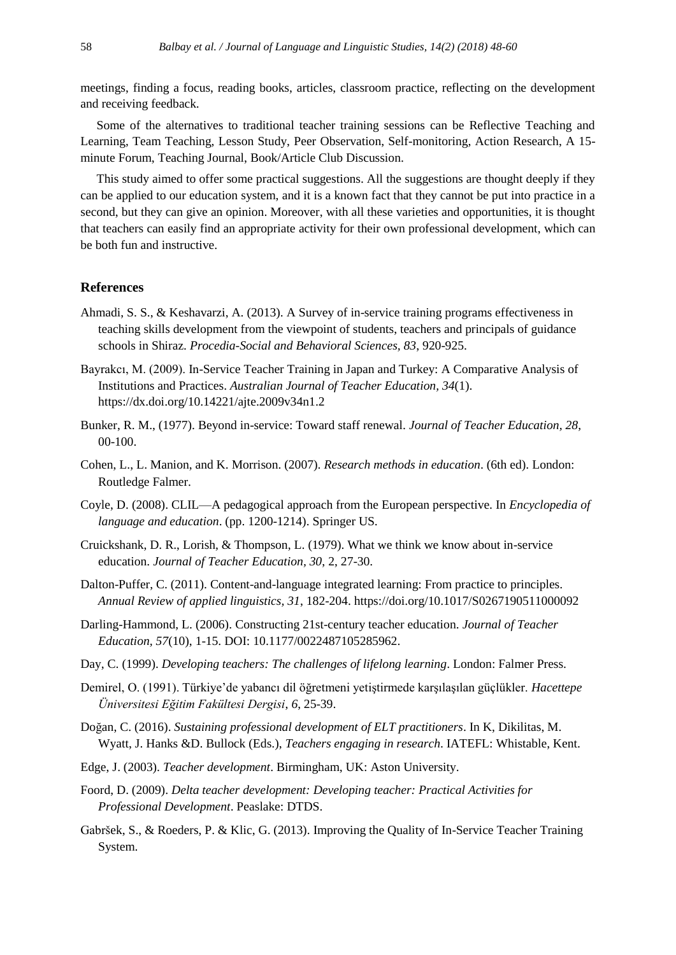meetings, finding a focus, reading books, articles, classroom practice, reflecting on the development and receiving feedback.

Some of the alternatives to traditional teacher training sessions can be Reflective Teaching and Learning, Team Teaching, Lesson Study, Peer Observation, Self-monitoring, Action Research, A 15 minute Forum, Teaching Journal, Book/Article Club Discussion.

This study aimed to offer some practical suggestions. All the suggestions are thought deeply if they can be applied to our education system, and it is a known fact that they cannot be put into practice in a second, but they can give an opinion. Moreover, with all these varieties and opportunities, it is thought that teachers can easily find an appropriate activity for their own professional development, which can be both fun and instructive.

## **References**

- Ahmadi, S. S., & Keshavarzi, A. (2013). A Survey of in-service training programs effectiveness in teaching skills development from the viewpoint of students, teachers and principals of guidance schools in Shiraz. *Procedia-Social and Behavioral Sciences, 83*, 920-925.
- Bayrakcı, M. (2009). In-Service Teacher Training in Japan and Turkey: A Comparative Analysis of Institutions and Practices. *Australian Journal of Teacher Education, 34*(1). https://dx.doi.org/10.14221/ajte.2009v34n1.2
- Bunker, R. M., (1977). Beyond in-service: Toward staff renewal. *Journal of Teacher Education, 28*, 00-100.
- Cohen, L., L. Manion, and K. Morrison. (2007). *Research methods in education*. (6th ed). London: Routledge Falmer.
- Coyle, D. (2008). CLIL—A pedagogical approach from the European perspective. In *Encyclopedia of language and education*. (pp. 1200-1214). Springer US.
- Cruickshank, D. R., Lorish, & Thompson, L. (1979). What we think we know about in-service education. *Journal of Teacher Education, 30*, 2, 27-30.
- Dalton-Puffer, C. (2011). Content-and-language integrated learning: From practice to principles. *Annual Review of applied linguistics, 31*, 182-204. https://doi.org/10.1017/S0267190511000092
- Darling-Hammond, L. (2006). Constructing 21st-century teacher education. *Journal of Teacher Education, 57*(10), 1-15. DOI: 10.1177/0022487105285962.
- Day, C. (1999). *Developing teachers: The challenges of lifelong learning*. London: Falmer Press.
- Demirel, O. (1991). Türkiye'de yabancı dil öğretmeni yetiştirmede karşılaşılan güçlükler. *Hacettepe Üniversitesi Eğitim Fakültesi Dergisi*, *6*, 25-39.
- Doğan, C. (2016). *Sustaining professional development of ELT practitioners*. In K, Dikilitas, M. Wyatt, J. Hanks &D. Bullock (Eds.), *Teachers engaging in research*. IATEFL: Whistable, Kent.
- Edge, J. (2003). *Teacher development*. Birmingham, UK: Aston University.
- Foord, D. (2009). *Delta teacher development: Developing teacher: Practical Activities for Professional Development*. Peaslake: DTDS.
- Gabršek, S., & Roeders, P. & Klic, G. (2013). Improving the Quality of In-Service Teacher Training System.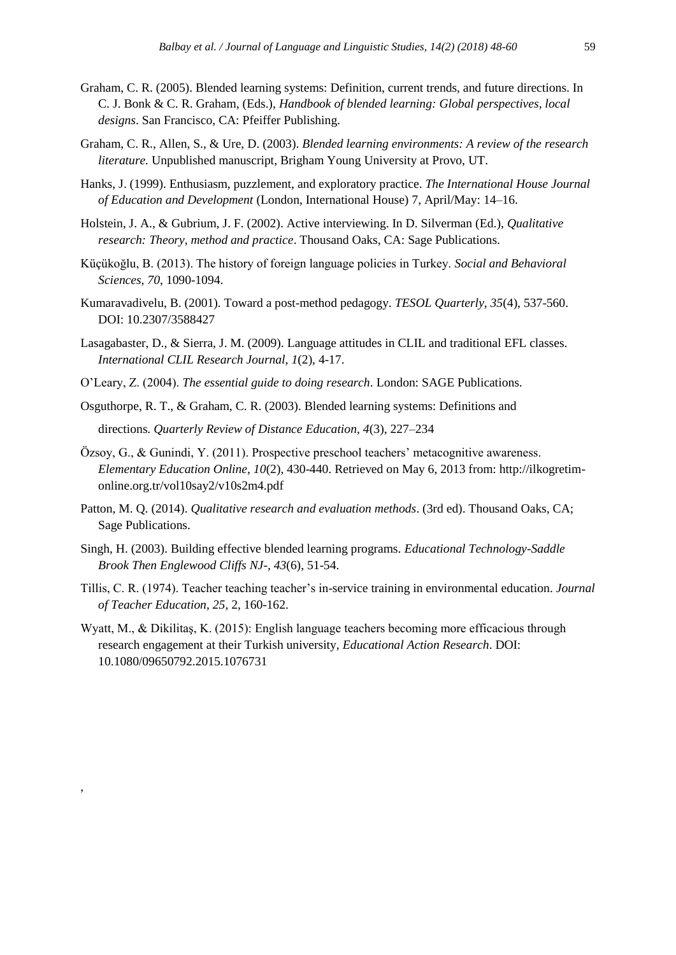- Graham, C. R. (2005). Blended learning systems: Definition, current trends, and future directions. In C. J. Bonk & C. R. Graham, (Eds.), *Handbook of blended learning: Global perspectives, local designs*. San Francisco, CA: Pfeiffer Publishing.
- Graham, C. R., Allen, S., & Ure, D. (2003). *Blended learning environments: A review of the research literature.* Unpublished manuscript, Brigham Young University at Provo, UT.
- Hanks, J. (1999). Enthusiasm, puzzlement, and exploratory practice. *The International House Journal of Education and Development* (London, International House) 7, April/May: 14–16.
- Holstein, J. A., & Gubrium, J. F. (2002). Active interviewing. In D. Silverman (Ed.), *Qualitative research: Theory, method and practice*. Thousand Oaks, CA: Sage Publications.
- Küçükoğlu, B. (2013). The history of foreign language policies in Turkey. *Social and Behavioral Sciences, 70*, 1090-1094.
- Kumaravadivelu, B. (2001). Toward a post-method pedagogy. *TESOL Quarterly, 35*(4), 537-560. DOI: 10.2307/3588427
- Lasagabaster, D., & Sierra, J. M. (2009). Language attitudes in CLIL and traditional EFL classes. *International CLIL Research Journal, 1*(2), 4-17.
- O'Leary, Z. (2004). *The essential guide to doing research*. London: SAGE Publications.
- Osguthorpe, R. T., & Graham, C. R. (2003). Blended learning systems: Definitions and directions. *Quarterly Review of Distance Education, 4*(3), 227–234
- Özsoy, G., & Gunindi, Y. (2011). Prospective preschool teachers' metacognitive awareness. *Elementary Education Online, 10*(2), 430-440. Retrieved on May 6, 2013 from: http://ilkogretimonline.org.tr/vol10say2/v10s2m4.pdf
- Patton, M. Q. (2014). *Qualitative research and evaluation methods*. (3rd ed). Thousand Oaks, CA; Sage Publications.
- Singh, H. (2003). Building effective blended learning programs. *Educational Technology-Saddle Brook Then Englewood Cliffs NJ-, 43*(6), 51-54.
- Tillis, C. R. (1974). Teacher teaching teacher's in-service training in environmental education. *Journal of Teacher Education, 25*, 2, 160-162.
- Wyatt, M., & Dikilitaş, K. (2015): English language teachers becoming more efficacious through research engagement at their Turkish university, *Educational Action Research*. DOI: 10.1080/09650792.2015.1076731

,